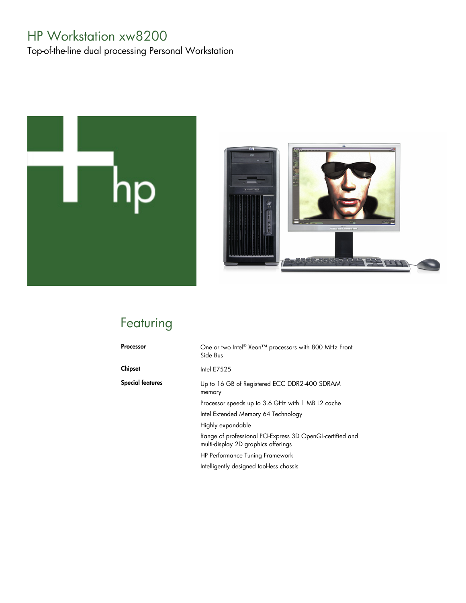# HP Workstation xw8200

Top-of-the-line dual processing Personal Workstation





# Featuring

| Processor        | One or two Intel <sup>®</sup> Xeon™ processors with 800 MHz Front<br>Side Bus                    |
|------------------|--------------------------------------------------------------------------------------------------|
| Chipset          | Intel $E7525$                                                                                    |
| Special features | Up to 16 GB of Registered ECC DDR2-400 SDRAM<br>memory                                           |
|                  | Processor speeds up to 3.6 GHz with 1 MB L2 cache                                                |
|                  | Intel Extended Memory 64 Technology                                                              |
|                  | Highly expandable                                                                                |
|                  | Range of professional PCI-Express 3D OpenGL-certified and<br>multi-display 2D graphics offerings |
|                  | <b>HP Performance Tuning Framework</b>                                                           |
|                  | Intelligently designed tool-less chassis                                                         |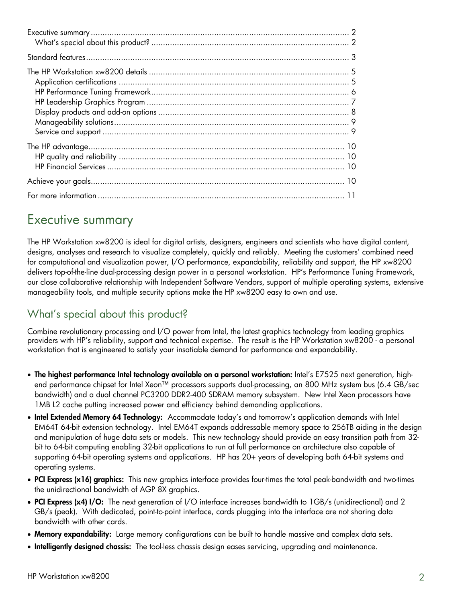# Executive summary

The HP Workstation xw8200 is ideal for digital artists, designers, engineers and scientists who have digital content, designs, analyses and research to visualize completely, quickly and reliably. Meeting the customers' combined need for computational and visualization power, I/O performance, expandability, reliability and support, the HP xw8200 delivers top-of-the-line dual-processing design power in a personal workstation. HP's Performance Tuning Framework, our close collaborative relationship with Independent Software Vendors, support of multiple operating systems, extensive manageability tools, and multiple security options make the HP xw8200 easy to own and use.

# What's special about this product?

Combine revolutionary processing and I/O power from Intel, the latest graphics technology from leading graphics providers with HP's reliability, support and technical expertise. The result is the HP Workstation xw8200 - a personal workstation that is engineered to satisfy your insatiable demand for performance and expandability.

- **The highest performance Intel technology available on a personal workstation:** Intel's E7525 next generation, highend performance chipset for Intel Xeon™ processors supports dual-processing, an 800 MHz system bus (6.4 GB/sec bandwidth) and a dual channel PC3200 DDR2-400 SDRAM memory subsystem. New Intel Xeon processors have 1MB L2 cache putting increased power and efficiency behind demanding applications.
- **Intel Extended Memory 64 Technology:** Accommodate today's and tomorrow's application demands with Intel EM64T 64-bit extension technology. Intel EM64T expands addressable memory space to 256TB aiding in the design and manipulation of huge data sets or models. This new technology should provide an easy transition path from 32 bit to 64-bit computing enabling 32-bit applications to run at full performance on architecture also capable of supporting 64-bit operating systems and applications. HP has 20+ years of developing both 64-bit systems and operating systems.
- **PCI Express (x16) graphics:** This new graphics interface provides four-times the total peak-bandwidth and two-times the unidirectional bandwidth of AGP 8X graphics.
- **PCI Express (x4) I/O:** The next generation of I/O interface increases bandwidth to 1GB/s (unidirectional) and 2 GB/s (peak). With dedicated, point-to-point interface, cards plugging into the interface are not sharing data bandwidth with other cards.
- **Memory expandability:** Large memory configurations can be built to handle massive and complex data sets.
- **Intelligently designed chassis:** The tool-less chassis design eases servicing, upgrading and maintenance.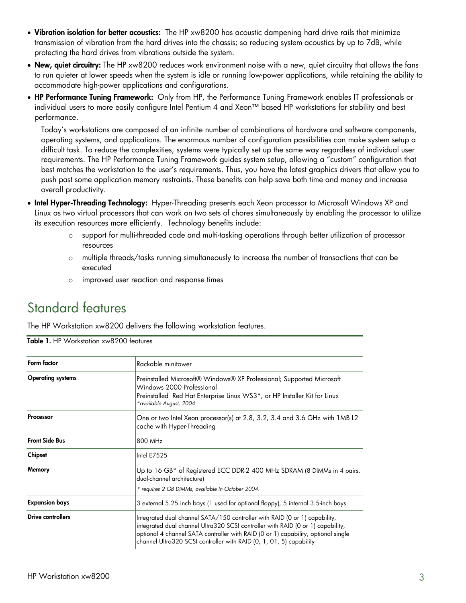- **Vibration isolation for better acoustics:** The HP xw8200 has acoustic dampening hard drive rails that minimize transmission of vibration from the hard drives into the chassis; so reducing system acoustics by up to 7dB, while protecting the hard drives from vibrations outside the system.
- **New, quiet circuitry:** The HP xw8200 reduces work environment noise with a new, quiet circuitry that allows the fans to run quieter at lower speeds when the system is idle or running low-power applications, while retaining the ability to accommodate high-power applications and configurations.
- **HP Performance Tuning Framework:** Only from HP, the Performance Tuning Framework enables IT professionals or individual users to more easily configure Intel Pentium 4 and Xeon™ based HP workstations for stability and best performance.

Today's workstations are composed of an infinite number of combinations of hardware and software components, operating systems, and applications. The enormous number of configuration possibilities can make system setup a difficult task. To reduce the complexities, systems were typically set up the same way regardless of individual user requirements. The HP Performance Tuning Framework guides system setup, allowing a "custom" configuration that best matches the workstation to the user's requirements. Thus, you have the latest graphics drivers that allow you to push past some application memory restraints. These benefits can help save both time and money and increase overall productivity.

- **Intel Hyper-Threading Technology:** Hyper-Threading presents each Xeon processor to Microsoft Windows XP and Linux as two virtual processors that can work on two sets of chores simultaneously by enabling the processor to utilize its execution resources more efficiently. Technology benefits include:
	- o support for multi-threaded code and multi-tasking operations through better utilization of processor resources
	- o multiple threads/tasks running simultaneously to increase the number of transactions that can be executed
	- o improved user reaction and response times

# Standard features

The HP Workstation xw8200 delivers the following workstation features.

| Form factor              | Rackable minitower                                                                                                                                                                                                                                                                                                        |  |
|--------------------------|---------------------------------------------------------------------------------------------------------------------------------------------------------------------------------------------------------------------------------------------------------------------------------------------------------------------------|--|
| <b>Operating systems</b> | Preinstalled Microsoft® Windows® XP Professional; Supported Microsoft<br>Windows 2000 Professional<br>Preinstalled Red Hat Enterprise Linux WS3*, or HP Installer Kit for Linux<br>*available August, 2004                                                                                                                |  |
| Processor                | One or two Intel Xeon processor(s) at 2.8, 3.2, 3.4 and 3.6 GHz with 1MB L2<br>cache with Hyper-Threading                                                                                                                                                                                                                 |  |
| <b>Front Side Bus</b>    | 800 MHz                                                                                                                                                                                                                                                                                                                   |  |
| Chipset                  | Intel E7525                                                                                                                                                                                                                                                                                                               |  |
| Memory                   | Up to 16 GB* of Registered ECC DDR-2 400 MHz SDRAM (8 DIMMs in 4 pairs,<br>dual-channel architecture)<br>* requires 2 GB DIMMs, available in October 2004.                                                                                                                                                                |  |
| <b>Expansion bays</b>    | 3 external 5.25 inch bays (1 used for optional floppy), 5 internal 3.5-inch bays                                                                                                                                                                                                                                          |  |
| Drive controllers        | Integrated dual channel SATA/150 controller with RAID (0 or 1) capability,<br>integrated dual channel Ultra320 SCSI controller with RAID (0 or 1) capability,<br>optional 4 channel SATA controller with RAID (0 or 1) capability, optional single<br>channel Ultra320 SCSI controller with RAID (0, 1, 01, 5) capability |  |

**Table 1.** HP Workstation xw8200 features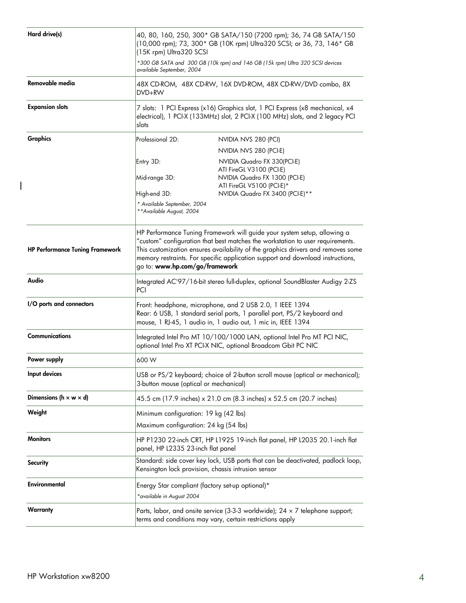| Hard drive(s)                          | 40, 80, 160, 250, 300* GB SATA/150 (7200 rpm); 36, 74 GB SATA/150<br>(10,000 rpm); 73, 300* GB (10K rpm) Ultra320 SCSI; or 36, 73, 146* GB<br>(15K rpm) Ultra320 SCSI<br>*300 GB SATA and 300 GB (10k rpm) and 146 GB (15k rpm) Ultra 320 SCSI devices                                                                                                             |                                                              |
|----------------------------------------|--------------------------------------------------------------------------------------------------------------------------------------------------------------------------------------------------------------------------------------------------------------------------------------------------------------------------------------------------------------------|--------------------------------------------------------------|
|                                        | available September, 2004                                                                                                                                                                                                                                                                                                                                          |                                                              |
| Removable media                        | 48X CD-ROM, 48X CD-RW, 16X DVD-ROM, 48X CD-RW/DVD combo, 8X<br>DVD+RW                                                                                                                                                                                                                                                                                              |                                                              |
| <b>Expansion slots</b>                 | 7 slots: 1 PCI Express (x16) Graphics slot, 1 PCI Express (x8 mechanical, x4<br>electrical), 1 PCI-X (133MHz) slot, 2 PCI-X (100 MHz) slots, and 2 legacy PCI<br>slots                                                                                                                                                                                             |                                                              |
| Graphics                               | Professional 2D:                                                                                                                                                                                                                                                                                                                                                   | NVIDIA NVS 280 (PCI)                                         |
|                                        |                                                                                                                                                                                                                                                                                                                                                                    | NVIDIA NVS 280 (PCI-E)                                       |
|                                        | Entry 3D:                                                                                                                                                                                                                                                                                                                                                          | NVIDIA Quadro FX 330(PCI-E)                                  |
|                                        | Mid-range 3D:                                                                                                                                                                                                                                                                                                                                                      | ATI FireGL V3100 (PCI-E)<br>NVIDIA Quadro FX 1300 (PCI-E)    |
|                                        | High-end 3D:                                                                                                                                                                                                                                                                                                                                                       | ATI FireGL V5100 (PCI-E)*<br>NVIDIA Quadro FX 3400 (PCI-E)** |
|                                        | * Available September, 2004<br>** Available August, 2004                                                                                                                                                                                                                                                                                                           |                                                              |
| <b>HP Performance Tuning Framework</b> | HP Performance Tuning Framework will guide your system setup, allowing a<br>"custom" configuration that best matches the workstation to user requirements.<br>This customization ensures availability of the graphics drivers and removes some<br>memory restraints. For specific application support and download instructions,<br>go to: www.hp.com/go/framework |                                                              |
| Audio                                  | Integrated AC'97/16-bit stereo full-duplex, optional SoundBlaster Audigy 2-ZS<br>PCI                                                                                                                                                                                                                                                                               |                                                              |
| I/O ports and connectors               | Front: headphone, microphone, and 2 USB 2.0, 1 IEEE 1394<br>Rear: 6 USB, 1 standard serial ports, 1 parallel port, PS/2 keyboard and<br>mouse, 1 RJ-45, 1 audio in, 1 audio out, 1 mic in, IEEE 1394                                                                                                                                                               |                                                              |
| <b>Communications</b>                  | Integrated Intel Pro MT 10/100/1000 LAN, optional Intel Pro MT PCI NIC,<br>optional Intel Pro XT PCI-X NIC, optional Broadcom Gbit PC NIC                                                                                                                                                                                                                          |                                                              |
| Power supply                           | 600 W                                                                                                                                                                                                                                                                                                                                                              |                                                              |
| Input devices                          | USB or PS/2 keyboard; choice of 2-button scroll mouse (optical or mechanical);<br>3-button mouse (optical or mechanical)                                                                                                                                                                                                                                           |                                                              |
| Dimensions ( $h \times w \times d$ )   | 45.5 cm (17.9 inches) x 21.0 cm (8.3 inches) x 52.5 cm (20.7 inches)                                                                                                                                                                                                                                                                                               |                                                              |
| Weight                                 | Minimum configuration: 19 kg (42 lbs)<br>Maximum configuration: 24 kg (54 lbs)                                                                                                                                                                                                                                                                                     |                                                              |
| <b>Monitors</b>                        | HP P1230 22-inch CRT, HP L1925 19-inch flat panel, HP L2035 20.1-inch flat<br>panel, HP L2335 23-inch flat panel                                                                                                                                                                                                                                                   |                                                              |
| Security                               | Standard: side cover key lock, USB ports that can be deactivated, padlock loop,<br>Kensington lock provision, chassis intrusion sensor                                                                                                                                                                                                                             |                                                              |
| Environmental                          | Energy Star compliant (factory set-up optional)*<br>*available in August 2004                                                                                                                                                                                                                                                                                      |                                                              |
| Warranty                               | Parts, labor, and onsite service (3-3-3 worldwide); $24 \times 7$ telephone support;<br>terms and conditions may vary, certain restrictions apply                                                                                                                                                                                                                  |                                                              |

 $\overline{\phantom{a}}$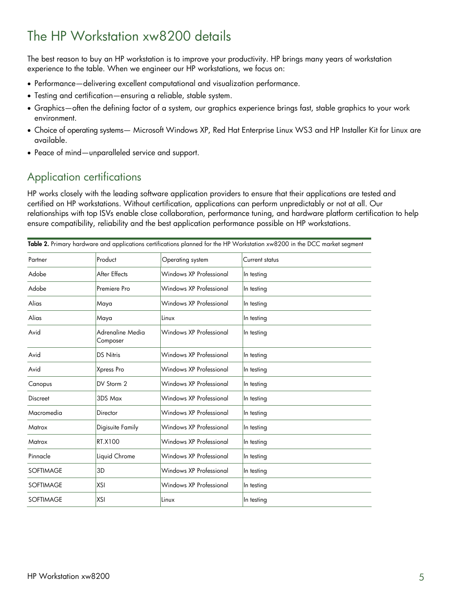# The HP Workstation xw8200 details

The best reason to buy an HP workstation is to improve your productivity. HP brings many years of workstation experience to the table. When we engineer our HP workstations, we focus on:

- Performance—delivering excellent computational and visualization performance.
- Testing and certification—ensuring a reliable, stable system.
- Graphics—often the defining factor of a system, our graphics experience brings fast, stable graphics to your work environment.
- Choice of operating systems— Microsoft Windows XP, Red Hat Enterprise Linux WS3 and HP Installer Kit for Linux are available.
- Peace of mind—unparalleled service and support.

## Application certifications

HP works closely with the leading software application providers to ensure that their applications are tested and certified on HP workstations. Without certification, applications can perform unpredictably or not at all. Our relationships with top ISVs enable close collaboration, performance tuning, and hardware platform certification to help ensure compatibility, reliability and the best application performance possible on HP workstations.

| Table 2. Primary hardware and applications certifications planned for the HP Workstation xw8200 in the DCC market segment |                              |                         |                |
|---------------------------------------------------------------------------------------------------------------------------|------------------------------|-------------------------|----------------|
| Partner                                                                                                                   | Product                      | Operating system        | Current status |
| Adobe                                                                                                                     | After Effects                | Windows XP Professional | In testing     |
| Adobe                                                                                                                     | Premiere Pro                 | Windows XP Professional | In testing     |
| Alias                                                                                                                     | Maya                         | Windows XP Professional | In testing     |
| Alias                                                                                                                     | Maya                         | Linux                   | In testing     |
| Avid                                                                                                                      | Adrenaline Media<br>Composer | Windows XP Professional | In testing     |
| Avid                                                                                                                      | <b>DS Nitris</b>             | Windows XP Professional | In testing     |
| Avid                                                                                                                      | Xpress Pro                   | Windows XP Professional | In testing     |
| Canopus                                                                                                                   | DV Storm 2                   | Windows XP Professional | In testing     |
| <b>Discreet</b>                                                                                                           | 3DS Max                      | Windows XP Professional | In testing     |
| Macromedia                                                                                                                | Director                     | Windows XP Professional | In testing     |
| Matrox                                                                                                                    | Digisuite Family             | Windows XP Professional | In testing     |
| Matrox                                                                                                                    | RT.X100                      | Windows XP Professional | In testing     |
| Pinnacle                                                                                                                  | Liquid Chrome                | Windows XP Professional | In testing     |
| <b>SOFTIMAGE</b>                                                                                                          | 3D                           | Windows XP Professional | In testing     |
| <b>SOFTIMAGE</b>                                                                                                          | XSI                          | Windows XP Professional | In testing     |
| <b>SOFTIMAGE</b>                                                                                                          | <b>XSI</b>                   | Linux                   | In testing     |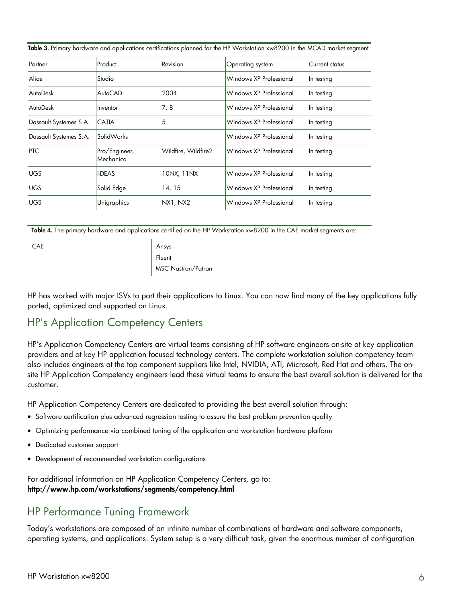| Partner                | Product                    | Revision            | <b>Operating</b> system | Current status |
|------------------------|----------------------------|---------------------|-------------------------|----------------|
| Alias                  | Studio                     |                     | Windows XP Professional | In testing     |
| AutoDesk               | AutoCAD                    | 2004                | Windows XP Professional | In testing     |
| AutoDesk               | Inventor                   | 7, 8                | Windows XP Professional | In testing     |
| Dassault Systemes S.A. | <b>CATIA</b>               | 5                   | Windows XP Professional | In testing     |
| Dassault Systemes S.A. | SolidWorks                 |                     | Windows XP Professional | In testing     |
| PTC                    | Pro/Engineer,<br>Mechanica | Wildfire, Wildfire2 | Windows XP Professional | In testing     |
| <b>UGS</b>             | <b>I-DEAS</b>              | 10NX, 11NX          | Windows XP Professional | In testing     |
| <b>UGS</b>             | Solid Edge                 | 14, 15              | Windows XP Professional | In testing     |
| <b>UGS</b>             | Unigraphics                | NX1, NX2            | Windows XP Professional | In testing     |
|                        |                            |                     |                         |                |

**Table 3.** Primary hardware and applications certifications planned for the HP Workstation xw8200 in the MCAD market segment

**Table 4.** The primary hardware and applications certified on the HP Workstation xw8200 in the CAE market segments are:

| <b>CAE</b> | Ansys              |
|------------|--------------------|
|            | Fluent             |
|            | MSC Nastran/Patran |

HP has worked with major ISVs to port their applications to Linux. You can now find many of the key applications fully ported, optimized and supported on Linux.

### HP's Application Competency Centers

HP's Application Competency Centers are virtual teams consisting of HP software engineers on-site at key application providers and at key HP application focused technology centers. The complete workstation solution competency team also includes engineers at the top component suppliers like Intel, NVIDIA, ATI, Microsoft, Red Hat and others. The onsite HP Application Competency engineers lead these virtual teams to ensure the best overall solution is delivered for the customer.

HP Application Competency Centers are dedicated to providing the best overall solution through:

- Software certification plus advanced regression testing to assure the best problem prevention quality
- Optimizing performance via combined tuning of the application and workstation hardware platform
- Dedicated customer support
- Development of recommended workstation configurations

For additional information on HP Application Competency Centers, go to: **http://www.hp.com/workstations/segments/competency.html**

## HP Performance Tuning Framework

Today's workstations are composed of an infinite number of combinations of hardware and software components, operating systems, and applications. System setup is a very difficult task, given the enormous number of configuration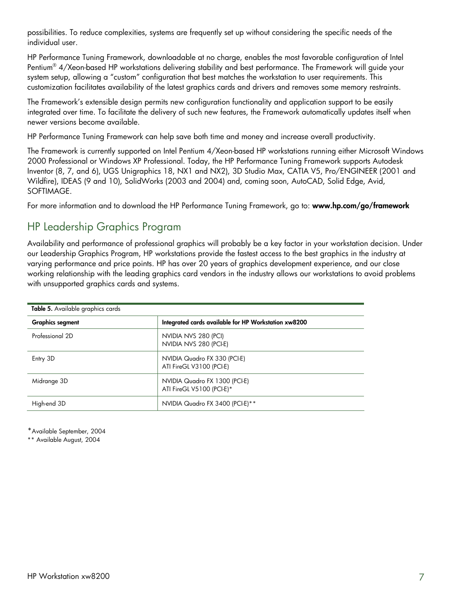possibilities. To reduce complexities, systems are frequently set up without considering the specific needs of the individual user.

HP Performance Tuning Framework, downloadable at no charge, enables the most favorable configuration of Intel Pentium® 4/Xeon-based HP workstations delivering stability and best performance. The Framework will guide your system setup, allowing a "custom" configuration that best matches the workstation to user requirements. This customization facilitates availability of the latest graphics cards and drivers and removes some memory restraints.

The Framework's extensible design permits new configuration functionality and application support to be easily integrated over time. To facilitate the delivery of such new features, the Framework automatically updates itself when newer versions become available.

HP Performance Tuning Framework can help save both time and money and increase overall productivity.

The Framework is currently supported on Intel Pentium 4/Xeon-based HP workstations running either Microsoft Windows 2000 Professional or Windows XP Professional. Today, the HP Performance Tuning Framework supports Autodesk Inventor (8, 7, and 6), UGS Unigraphics 18, NX1 and NX2), 3D Studio Max, CATIA V5, Pro/ENGINEER (2001 and Wildfire), IDEAS (9 and 10), SolidWorks (2003 and 2004) and, coming soon, AutoCAD, Solid Edge, Avid, SOFTIMAGE.

For more information and to download the HP Performance Tuning Framework, go to: **www.hp.com/go/framework** 

### HP Leadership Graphics Program

Availability and performance of professional graphics will probably be a key factor in your workstation decision. Under our Leadership Graphics Program, HP workstations provide the fastest access to the best graphics in the industry at varying performance and price points. HP has over 20 years of graphics development experience, and our close working relationship with the leading graphics card vendors in the industry allows our workstations to avoid problems with unsupported graphics cards and systems.

| Table 5. Available graphics cards |                                                            |  |
|-----------------------------------|------------------------------------------------------------|--|
| <b>Graphics segment</b>           | Integrated cards available for HP Workstation xw8200       |  |
| Professional 2D                   | NVIDIA NVS 280 (PCI)<br>NVIDIA NVS 280 (PCI-E)             |  |
| Entry 3D                          | NVIDIA Quadro FX 330 (PCI-E)<br>ATI FireGL V3100 (PCI-E)   |  |
| Midrange 3D                       | NVIDIA Quadro FX 1300 (PCI-E)<br>ATI FireGL V5100 (PCI-E)* |  |
| High-end 3D                       | NVIDIA Quadro FX 3400 (PCI-E)**                            |  |

\*Available September, 2004

\*\* Available August, 2004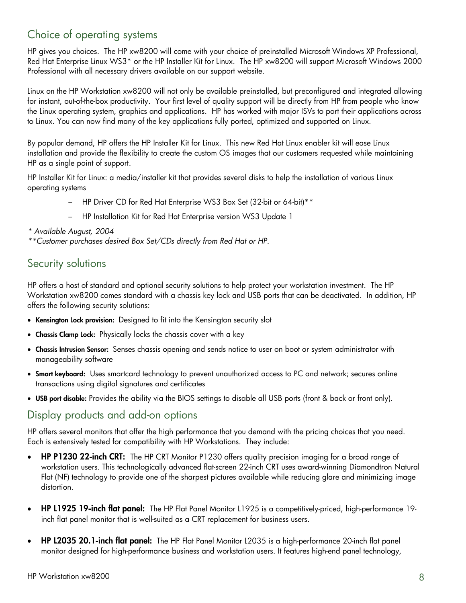## Choice of operating systems

HP gives you choices. The HP xw8200 will come with your choice of preinstalled Microsoft Windows XP Professional, Red Hat Enterprise Linux WS3\* or the HP Installer Kit for Linux. The HP xw8200 will support Microsoft Windows 2000 Professional with all necessary drivers available on our support website.

Linux on the HP Workstation xw8200 will not only be available preinstalled, but preconfigured and integrated allowing for instant, out-of-the-box productivity. Your first level of quality support will be directly from HP from people who know the Linux operating system, graphics and applications. HP has worked with major ISVs to port their applications across to Linux. You can now find many of the key applications fully ported, optimized and supported on Linux.

By popular demand, HP offers the HP Installer Kit for Linux. This new Red Hat Linux enabler kit will ease Linux installation and provide the flexibility to create the custom OS images that our customers requested while maintaining HP as a single point of support.

HP Installer Kit for Linux: a media/installer kit that provides several disks to help the installation of various Linux operating systems

- HP Driver CD for Red Hat Enterprise WS3 Box Set (32-bit or 64-bit)\*\*
- HP Installation Kit for Red Hat Enterprise version WS3 Update 1
- *\* Available August, 2004*
- *\*\*Customer purchases desired Box Set/CDs directly from Red Hat or HP.*

#### Security solutions

HP offers a host of standard and optional security solutions to help protect your workstation investment. The HP Workstation xw8200 comes standard with a chassis key lock and USB ports that can be deactivated. In addition, HP offers the following security solutions:

- **Kensington Lock provision:** Designed to fit into the Kensington security slot
- **Chassis Clamp Lock:** Physically locks the chassis cover with a key
- **Chassis Intrusion Sensor:** Senses chassis opening and sends notice to user on boot or system administrator with manageability software
- **Smart keyboard:** Uses smartcard technology to prevent unauthorized access to PC and network; secures online transactions using digital signatures and certificates
- **USB port disable:** Provides the ability via the BIOS settings to disable all USB ports (front & back or front only).

### Display products and add-on options

HP offers several monitors that offer the high performance that you demand with the pricing choices that you need. Each is extensively tested for compatibility with HP Workstations. They include:

- **HP P1230 22-inch CRT:** The HP CRT Monitor P1230 offers quality precision imaging for a broad range of workstation users. This technologically advanced flat-screen 22-inch CRT uses award-winning Diamondtron Natural Flat (NF) technology to provide one of the sharpest pictures available while reducing glare and minimizing image distortion.
- **HP L1925 19-inch flat panel:** The HP Flat Panel Monitor L1925 is a competitively-priced, high-performance 19 inch flat panel monitor that is well-suited as a CRT replacement for business users.
- **HP L2035 20.1-inch flat panel:** The HP Flat Panel Monitor L2035 is a high-performance 20-inch flat panel monitor designed for high-performance business and workstation users. It features high-end panel technology,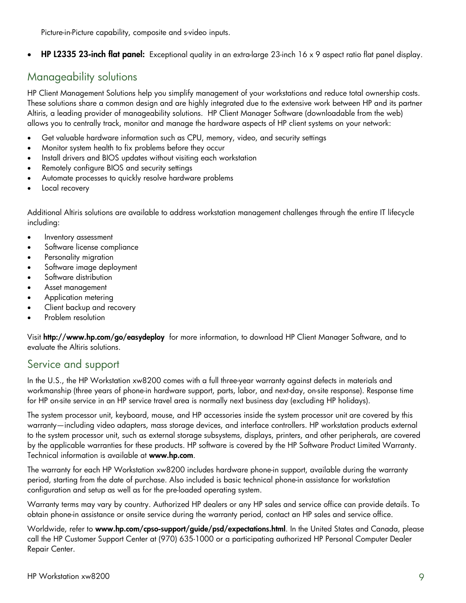Picture-in-Picture capability, composite and s-video inputs.

• **HP L2335 23-inch flat panel:** Exceptional quality in an extra-large 23-inch 16 x 9 aspect ratio flat panel display.

### Manageability solutions

HP Client Management Solutions help you simplify management of your workstations and reduce total ownership costs. These solutions share a common design and are highly integrated due to the extensive work between HP and its partner Altiris, a leading provider of manageability solutions. HP Client Manager Software (downloadable from the web) allows you to centrally track, monitor and manage the hardware aspects of HP client systems on your network:

- Get valuable hardware information such as CPU, memory, video, and security settings
- Monitor system health to fix problems before they occur
- Install drivers and BIOS updates without visiting each workstation
- Remotely configure BIOS and security settings
- Automate processes to quickly resolve hardware problems
- Local recovery

Additional Altiris solutions are available to address workstation management challenges through the entire IT lifecycle including:

- Inventory assessment
- Software license compliance
- Personality migration
- Software image deployment
- Software distribution
- Asset management
- Application metering
- Client backup and recovery
- Problem resolution

Visit **http://www.hp.com/go/easydeploy** for more information, to download HP Client Manager Software, and to evaluate the Altiris solutions.

### Service and support

In the U.S., the HP Workstation xw8200 comes with a full three-year warranty against defects in materials and workmanship (three years of phone-in hardware support, parts, labor, and next-day, on-site response). Response time for HP on-site service in an HP service travel area is normally next business day (excluding HP holidays).

The system processor unit, keyboard, mouse, and HP accessories inside the system processor unit are covered by this warranty—including video adapters, mass storage devices, and interface controllers. HP workstation products external to the system processor unit, such as external storage subsystems, displays, printers, and other peripherals, are covered by the applicable warranties for these products. HP software is covered by the HP Software Product Limited Warranty. Technical information is available at **www.hp.com**.

The warranty for each HP Workstation xw8200 includes hardware phone-in support, available during the warranty period, starting from the date of purchase. Also included is basic technical phone-in assistance for workstation configuration and setup as well as for the pre-loaded operating system.

Warranty terms may vary by country. Authorized HP dealers or any HP sales and service office can provide details. To obtain phone-in assistance or onsite service during the warranty period, contact an HP sales and service office.

Worldwide, refer to **www.hp.com/cpso-support/guide/psd/expectations.html**. In the United States and Canada, please call the HP Customer Support Center at (970) 635-1000 or a participating authorized HP Personal Computer Dealer Repair Center.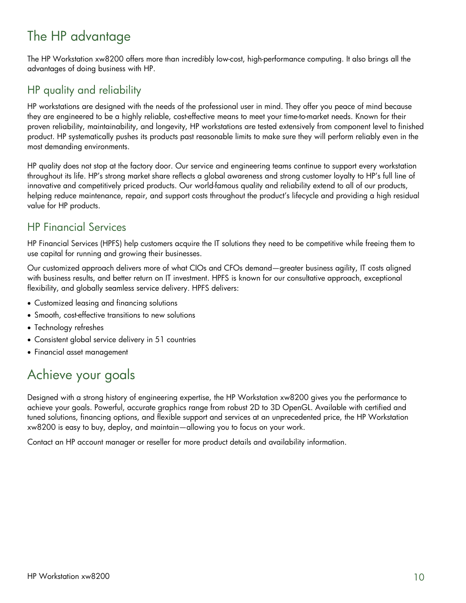# The HP advantage

The HP Workstation xw8200 offers more than incredibly low-cost, high-performance computing. It also brings all the advantages of doing business with HP.

# HP quality and reliability

HP workstations are designed with the needs of the professional user in mind. They offer you peace of mind because they are engineered to be a highly reliable, cost-effective means to meet your time-to-market needs. Known for their proven reliability, maintainability, and longevity, HP workstations are tested extensively from component level to finished product. HP systematically pushes its products past reasonable limits to make sure they will perform reliably even in the most demanding environments.

HP quality does not stop at the factory door. Our service and engineering teams continue to support every workstation throughout its life. HP's strong market share reflects a global awareness and strong customer loyalty to HP's full line of innovative and competitively priced products. Our world-famous quality and reliability extend to all of our products, helping reduce maintenance, repair, and support costs throughout the product's lifecycle and providing a high residual value for HP products.

## HP Financial Services

HP Financial Services (HPFS) help customers acquire the IT solutions they need to be competitive while freeing them to use capital for running and growing their businesses.

Our customized approach delivers more of what CIOs and CFOs demand—greater business agility, IT costs aligned with business results, and better return on IT investment. HPFS is known for our consultative approach, exceptional flexibility, and globally seamless service delivery. HPFS delivers:

- Customized leasing and financing solutions
- Smooth, cost-effective transitions to new solutions
- Technology refreshes
- Consistent global service delivery in 51 countries
- Financial asset management

# Achieve your goals

Designed with a strong history of engineering expertise, the HP Workstation xw8200 gives you the performance to achieve your goals. Powerful, accurate graphics range from robust 2D to 3D OpenGL. Available with certified and tuned solutions, financing options, and flexible support and services at an unprecedented price, the HP Workstation xw8200 is easy to buy, deploy, and maintain—allowing you to focus on your work.

Contact an HP account manager or reseller for more product details and availability information.